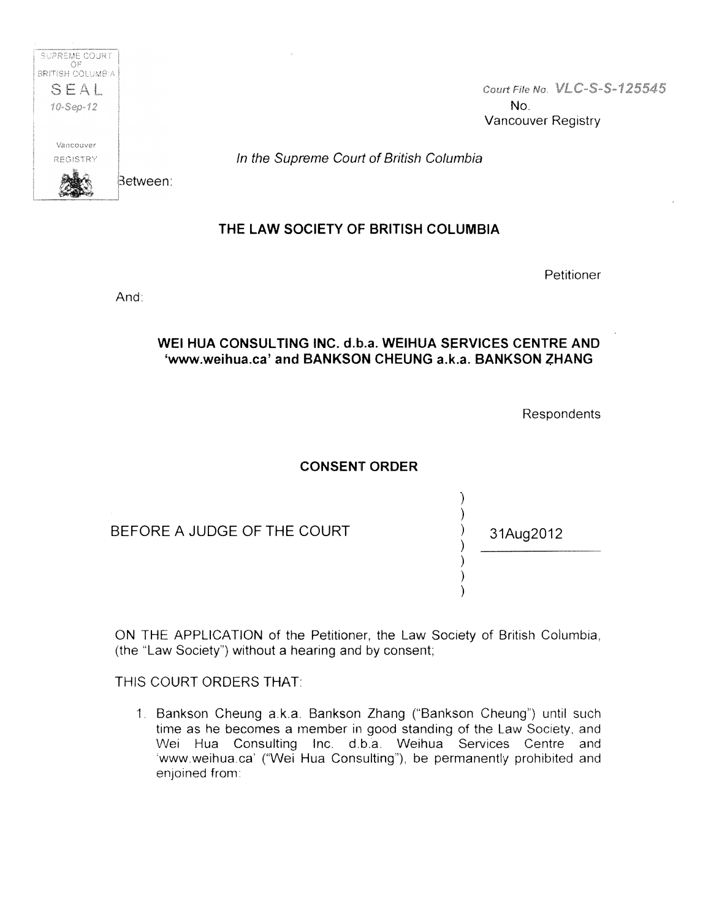

Court File No. VLC-S-S-125545 No. Vancouver Registry

In the Supreme Court of British Columbia

## THE LAW SOCIETY OF BRITISH COLUMBIA

Petitioner

And:

## WEI HUA CONSULTING INC. d.b.a. WEIHUA SERVICES CENTRE AND 'www.weihua.ca' and BANKSON CHEUNG a.k.a. BANKSON ZHANG

Respondents

31Aug2012

## CONSENT ORDER

) ) ) ) ) ) )

BEFORE A JUDGE OF THE COURT

ON THE APPLICATION of the Petitioner, the Law Society of British Columbia, (the "Law Society") without a hearing and by consent;

## THIS COURT ORDERS THAT:

1. Bankson Cheung a.k.a. Bankson Zhang ("Bankson Cheung") until such time as he becomes a member in good standing of the Law Society, and Wei Hua Consulting Inc. d.b.a. Weihua Services Centre and 'www .weihua.ca' ("Wei Hua Consulting"), be permanently prohibited and enjoined from: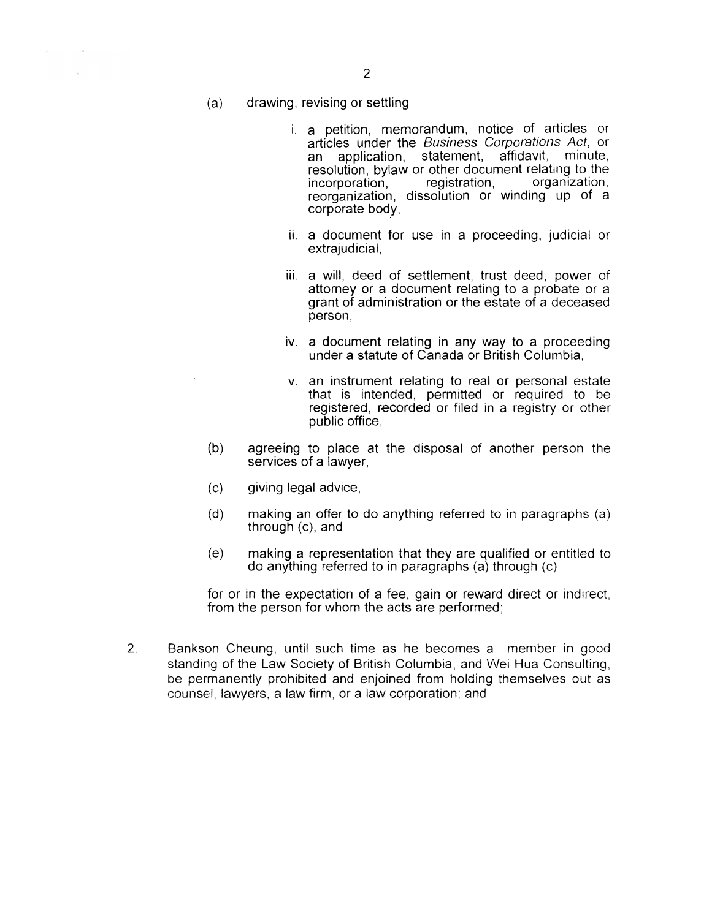$\bar{\kappa}$ 

- i. a petition, memorandum, notice of articles or articles under the Business Corporations Act, or an application, statement, affidavit, minute, resolution, bylaw or other document relating to the incorporation, registration, organization, incorporation, reorganization, dissolution or winding up of a corporate body,
- ii. a document for use in a proceeding, judicial or extrajudicial,
- iii. a will, deed of settlement, trust deed, power of attorney or a document relating to a probate or a grant of administration or the estate of a deceased person,
- iv. a document relating in any way to a proceeding under a statute of Canada or British Columbia,
- v. an instrument relating to real or personal estate that is intended, permitted or required to be registered, recorded or filed in a registry or other public office,
- (b) agreeing to place at the disposal of another person the services of a lawyer,
- (c) giving legal advice,
- (d) making an offer to do anything referred to in paragraphs (a) through (c), and
- (e) making a represemtation that they are qualified or entitled to do anything referred to in paragraphs (a) through (c)

for or in the expectation of a fee, gain or reward direct or indirect, from the person for whom the acts are performed;

2. Bankson Cheung, until such time as he becomes a member in good standing of the Law Society of British Columbia, and Wei Hua Consulting, be permanently prohibited and enjoined from holding themselves out as counsel, lawyers, a law firm, or a law corporation; and